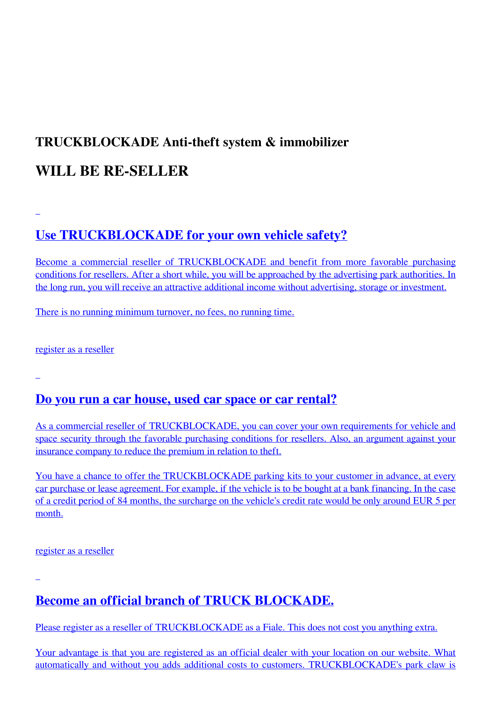# **TRUCKBLOCKADE Anti-theft system & immobilizer**

## **WILL BE RE-SELLER**

## **[Use TRUCKBLOCKADE for your own vehicle safety?](https://www.truckblockade.com/en/sign-up.html)**

[Become a commercial reseller of TRUCKBLOCKADE and benefit from more favorable purchasing](https://www.truckblockade.com/en/sign-up.html) [conditions for resellers. After a short while, you will be approached by the advertising park authorities. In](https://www.truckblockade.com/en/sign-up.html) [the long run, you will receive an attractive additional income without advertising, storage or investment.](https://www.truckblockade.com/en/sign-up.html)

[There is no running minimum turnover, no fees, no running time.](https://www.truckblockade.com/en/sign-up.html)

[register as a reseller](https://www.truckblockade.com/en/sign-up.html)

#### **[Do you run a car house, used car space or car rental?](https://www.truckblockade.com/en/sign-up.html)**

[As a commercial reseller of TRUCKBLOCKADE, you can cover your own requirements for vehicle and](https://www.truckblockade.com/en/sign-up.html) [space security through the favorable purchasing conditions for resellers. Also, an argument against your](https://www.truckblockade.com/en/sign-up.html) [insurance company to reduce the premium in relation to theft.](https://www.truckblockade.com/en/sign-up.html)

[You have a chance to offer the TRUCKBLOCKADE parking kits to your customer in advance, at every](https://www.truckblockade.com/en/sign-up.html) [car purchase or lease agreement. For example, if the vehicle is to be bought at a bank financing. In the cas](https://www.truckblockade.com/en/sign-up.html)e [of a credit period of 84 months, the surcharge on the vehicle's credit rate would be only around EUR 5 per](https://www.truckblockade.com/en/sign-up.html) [month.](https://www.truckblockade.com/en/sign-up.html)

[register as a reseller](https://www.truckblockade.com/en/sign-up.html)

**[Become an official branch of TRUCK BLOCKADE.](https://www.truckblockade.com/en/sign-up.html)**

[Please register as a reseller of TRUCKBLOCKADE as a Fiale. This does not cost you anything extra.](https://www.truckblockade.com/en/sign-up.html)

[Your advantage is that you are registered as an official dealer with your location on our website. What](https://www.truckblockade.com/en/sign-up.html) [automatically and without you adds additional costs to customers. TRUCKBLOCKADE's park claw is](https://www.truckblockade.com/en/sign-up.html)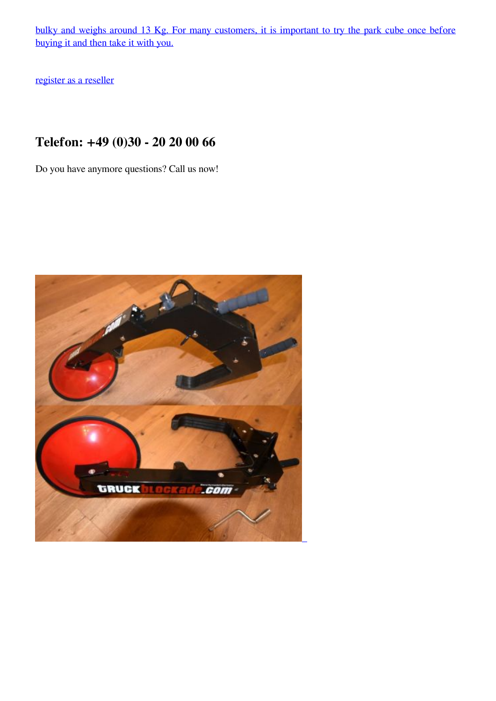[bulky and weighs around 13 Kg. For many customers, it is important to try the park cube once before](https://www.truckblockade.com/en/sign-up.html) [buying it and then take it with you.](https://www.truckblockade.com/en/sign-up.html)

[register as a reseller](https://www.truckblockade.com/en/sign-up.html)

### **Telefon: +49 (0)30 - 20 20 00 66**

Do you have anymore questions? Call us now!